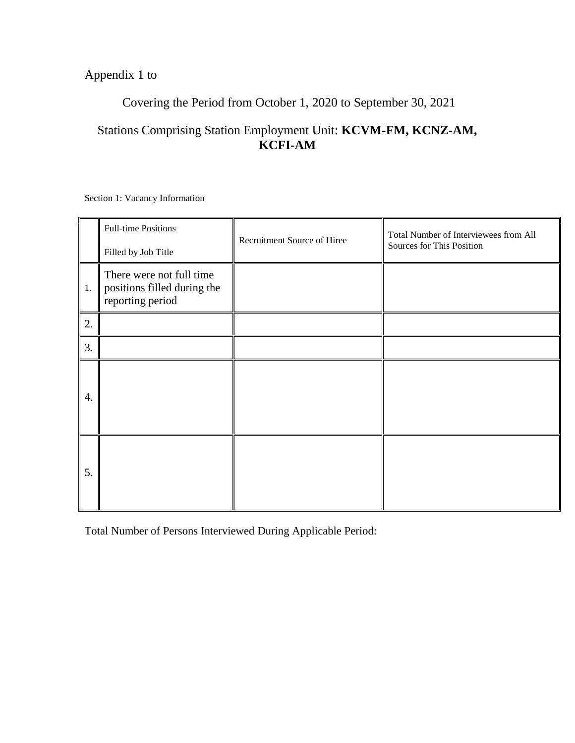# Appendix 1 to

# Covering the Period from October 1, 2020 to September 30, 2021

# Stations Comprising Station Employment Unit: **KCVM-FM, KCNZ-AM, KCFI-AM**

Section 1: Vacancy Information

|    | <b>Full-time Positions</b><br>Filled by Job Title                           | Recruitment Source of Hiree | Total Number of Interviewees from All<br>Sources for This Position |
|----|-----------------------------------------------------------------------------|-----------------------------|--------------------------------------------------------------------|
| 1. | There were not full time<br>positions filled during the<br>reporting period |                             |                                                                    |
| 2. |                                                                             |                             |                                                                    |
| 3. |                                                                             |                             |                                                                    |
| 4. |                                                                             |                             |                                                                    |
| 5. |                                                                             |                             |                                                                    |

Total Number of Persons Interviewed During Applicable Period: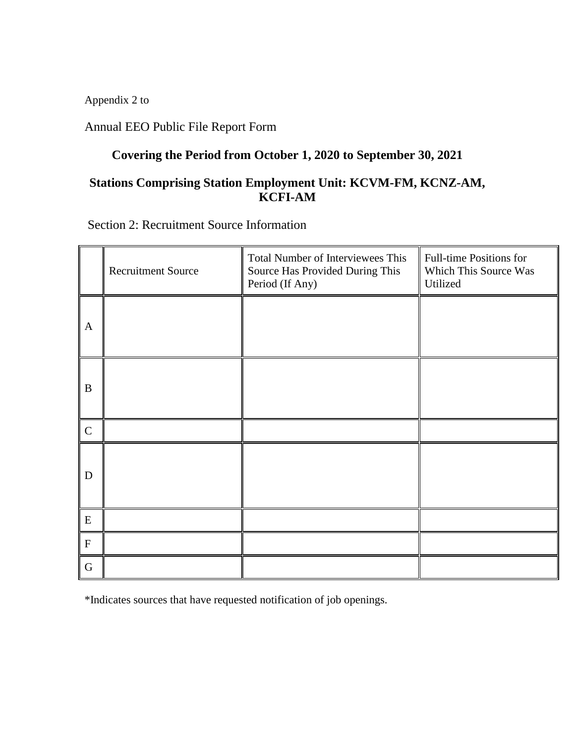Appendix 2 to

Annual EEO Public File Report Form

# **Covering the Period from October 1, 2020 to September 30, 2021**

## **Stations Comprising Station Employment Unit: KCVM-FM, KCNZ-AM, KCFI-AM**

Section 2: Recruitment Source Information

|                           | <b>Recruitment Source</b> | Total Number of Interviewees This<br>Source Has Provided During This<br>Period (If Any) | Full-time Positions for<br>Which This Source Was<br>Utilized |
|---------------------------|---------------------------|-----------------------------------------------------------------------------------------|--------------------------------------------------------------|
| $\mathbf{A}$              |                           |                                                                                         |                                                              |
| $\bf{B}$                  |                           |                                                                                         |                                                              |
| $\mathbf C$               |                           |                                                                                         |                                                              |
| D                         |                           |                                                                                         |                                                              |
| ${\bf E}$                 |                           |                                                                                         |                                                              |
| $\boldsymbol{\mathrm{F}}$ |                           |                                                                                         |                                                              |
| $\mathbf G$               |                           |                                                                                         |                                                              |

\*Indicates sources that have requested notification of job openings.